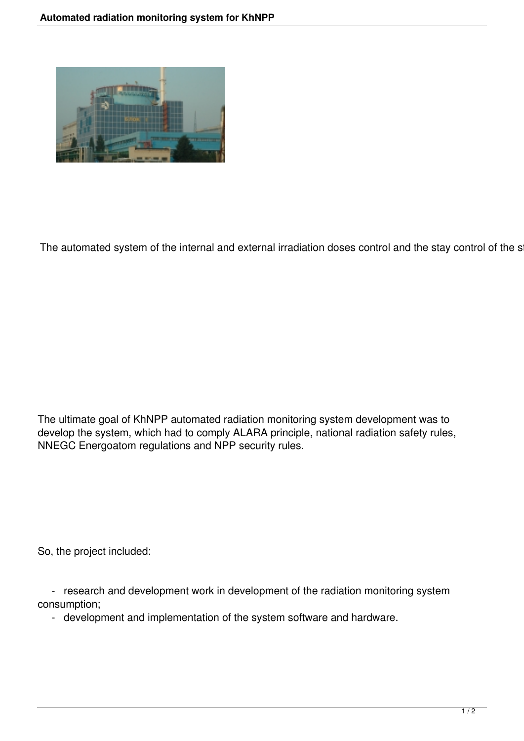

The automated system of the internal and external irradiation doses control and the stay control of the s

The ultimate goal of KhNPP automated radiation monitoring system development was to develop the system, which had to comply ALARA principle, national radiation safety rules, NNEGC Energoatom regulations and NPP security rules.

So, the project included:

 - research and development work in development of the radiation monitoring system consumption;

- development and implementation of the system software and hardware.